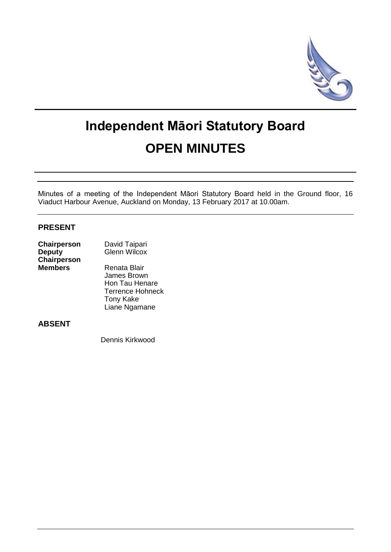

# **Independent Māori Statutory Board OPEN MINUTES**

Minutes of a meeting of the Independent Māori Statutory Board held in the Ground floor, 16 Viaduct Harbour Avenue, Auckland on Monday, 13 February 2017 at 10.00am.

# **PRESENT**

| Chairperson        | David Taipari       |  |
|--------------------|---------------------|--|
| <b>Deputy</b>      | <b>Glenn Wilcox</b> |  |
| <b>Chairperson</b> |                     |  |
| <b>Members</b>     | Renata Blair        |  |
|                    | James Brown         |  |
|                    |                     |  |

 Hon Tau Henare Terrence Hohneck Tony Kake Liane Ngamane

# **ABSENT**

Dennis Kirkwood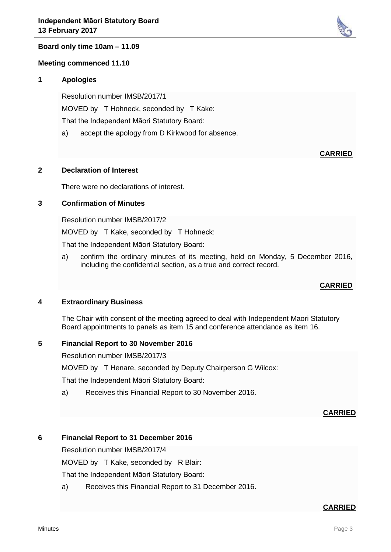

# **Board only time 10am – 11.09**

#### **Meeting commenced 11.10**

#### **1 Apologies**

Resolution number IMSB/2017/1 MOVED by T Hohneck, seconded by T Kake: That the Independent Māori Statutory Board:

a) accept the apology from D Kirkwood for absence.

#### **CARRIED**

#### **2 Declaration of Interest**

There were no declarations of interest.

#### **3 Confirmation of Minutes**

Resolution number IMSB/2017/2 MOVED by T Kake, seconded by T Hohneck: That the Independent Māori Statutory Board:

a) confirm the ordinary minutes of its meeting, held on Monday, 5 December 2016, including the confidential section, as a true and correct record.

#### **CARRIED**

#### **4 Extraordinary Business**

The Chair with consent of the meeting agreed to deal with Independent Maori Statutory Board appointments to panels as item 15 and conference attendance as item 16.

#### **5 Financial Report to 30 November 2016**

Resolution number IMSB/2017/3

MOVED by T Henare, seconded by Deputy Chairperson G Wilcox:

That the Independent Māori Statutory Board:

a) Receives this Financial Report to 30 November 2016.

#### **CARRIED**

#### **6 Financial Report to 31 December 2016**

Resolution number IMSB/2017/4

MOVED by T Kake, seconded by R Blair:

That the Independent Māori Statutory Board:

a) Receives this Financial Report to 31 December 2016.

#### **CARRIED**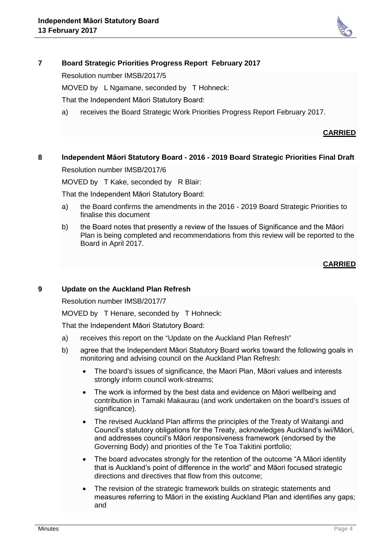

# **7 Board Strategic Priorities Progress Report February 2017**

Resolution number IMSB/2017/5

MOVED by L Ngamane, seconded by T Hohneck:

That the Independent Māori Statutory Board:

a) receives the Board Strategic Work Priorities Progress Report February 2017.

## **CARRIED**

# **8 Independent Māori Statutory Board - 2016 - 2019 Board Strategic Priorities Final Draft**

Resolution number IMSB/2017/6

MOVED by T Kake, seconded by R Blair:

That the Independent Māori Statutory Board:

- a) the Board confirms the amendments in the 2016 2019 Board Strategic Priorities to finalise this document
- b) the Board notes that presently a review of the Issues of Significance and the Māori Plan is being completed and recommendations from this review will be reported to the Board in April 2017.

# **CARRIED**

## **9 Update on the Auckland Plan Refresh**

Resolution number IMSB/2017/7

MOVED by T Henare, seconded by T Hohneck:

That the Independent Māori Statutory Board:

- a) receives this report on the "Update on the Auckland Plan Refresh"
- b) agree that the Independent Māori Statutory Board works toward the following goals in monitoring and advising council on the Auckland Plan Refresh:
	- The board's issues of significance, the Maori Plan, Māori values and interests strongly inform council work-streams:
	- The work is informed by the best data and evidence on Māori wellbeing and contribution in Tamaki Makaurau (and work undertaken on the board's issues of significance).
	- The revised Auckland Plan affirms the principles of the Treaty of Waitangi and Council's statutory obligations for the Treaty, acknowledges Auckland's iwi/Māori, and addresses council's Māori responsiveness framework (endorsed by the Governing Body) and priorities of the Te Toa Takitini portfolio;
	- The board advocates strongly for the retention of the outcome "A Māori identity" that is Auckland's point of difference in the world" and Māori focused strategic directions and directives that flow from this outcome;
	- The revision of the strategic framework builds on strategic statements and measures referring to Māori in the existing Auckland Plan and identifies any gaps; and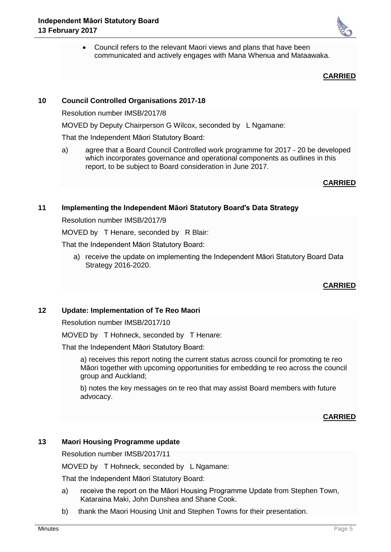• Council refers to the relevant Maori views and plans that have been communicated and actively engages with Mana Whenua and Mataawaka.

## **CARRIED**

# **10 Council Controlled Organisations 2017-18**

Resolution number IMSB/2017/8

MOVED by Deputy Chairperson G Wilcox, seconded by L Ngamane:

That the Independent Māori Statutory Board:

a) agree that a Board Council Controlled work programme for 2017 - 20 be developed which incorporates governance and operational components as outlines in this report, to be subject to Board consideration in June 2017.

# **CARRIED**

# **11 Implementing the Independent Māori Statutory Board's Data Strategy**

Resolution number IMSB/2017/9

MOVED by T Henare, seconded by R Blair:

That the Independent Māori Statutory Board:

a) receive the update on implementing the Independent Māori Statutory Board Data Strategy 2016-2020.

# **CARRIED**

# **12 Update: Implementation of Te Reo Maori**

Resolution number IMSB/2017/10

MOVED by T Hohneck, seconded by T Henare:

That the Independent Māori Statutory Board:

a) receives this report noting the current status across council for promoting te reo Māori together with upcoming opportunities for embedding te reo across the council group and Auckland;

b) notes the key messages on te reo that may assist Board members with future advocacy.

**CARRIED**

# **13 Maori Housing Programme update**

Resolution number IMSB/2017/11

MOVED by T Hohneck, seconded by L Ngamane:

That the Independent Māori Statutory Board:

- a) receive the report on the Māori Housing Programme Update from Stephen Town, Kataraina Maki, John Dunshea and Shane Cook.
- b) thank the Maori Housing Unit and Stephen Towns for their presentation.

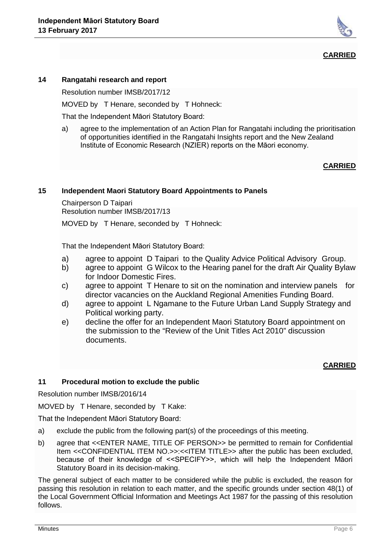

## **CARRIED**

#### **14 Rangatahi research and report**

Resolution number IMSB/2017/12

MOVED by T Henare, seconded by T Hohneck:

That the Independent Māori Statutory Board:

a) agree to the implementation of an Action Plan for Rangatahi including the prioritisation of opportunities identified in the Rangatahi Insights report and the New Zealand Institute of Economic Research (NZIER) reports on the Māori economy.

## **CARRIED**

## **15 Independent Maori Statutory Board Appointments to Panels**

Chairperson D Taipari Resolution number IMSB/2017/13

MOVED by T Henare, seconded by T Hohneck:

That the Independent Māori Statutory Board:

- a) agree to appoint D Taipari to the Quality Advice Political Advisory Group.
- b) agree to appoint G Wilcox to the Hearing panel for the draft Air Quality Bylaw for Indoor Domestic Fires.
- c) agree to appoint T Henare to sit on the nomination and interview panels for director vacancies on the Auckland Regional Amenities Funding Board.
- d) agree to appoint L Ngamane to the Future Urban Land Supply Strategy and Political working party.
- e) decline the offer for an Independent Maori Statutory Board appointment on the submission to the "Review of the Unit Titles Act 2010" discussion documents.

## **CARRIED**

## **11 Procedural motion to exclude the public**

Resolution number IMSB/2016/14

MOVED by T Henare, seconded by T Kake:

That the Independent Māori Statutory Board:

- a) exclude the public from the following part(s) of the proceedings of this meeting.
- b) agree that <<ENTER NAME, TITLE OF PERSON>> be permitted to remain for Confidential Item <<CONFIDENTIAL ITEM NO.>>:<<ITEM TITLE>> after the public has been excluded, because of their knowledge of <<SPECIFY>>, which will help the Independent Māori Statutory Board in its decision-making.

The general subject of each matter to be considered while the public is excluded, the reason for passing this resolution in relation to each matter, and the specific grounds under section 48(1) of the Local Government Official Information and Meetings Act 1987 for the passing of this resolution follows.